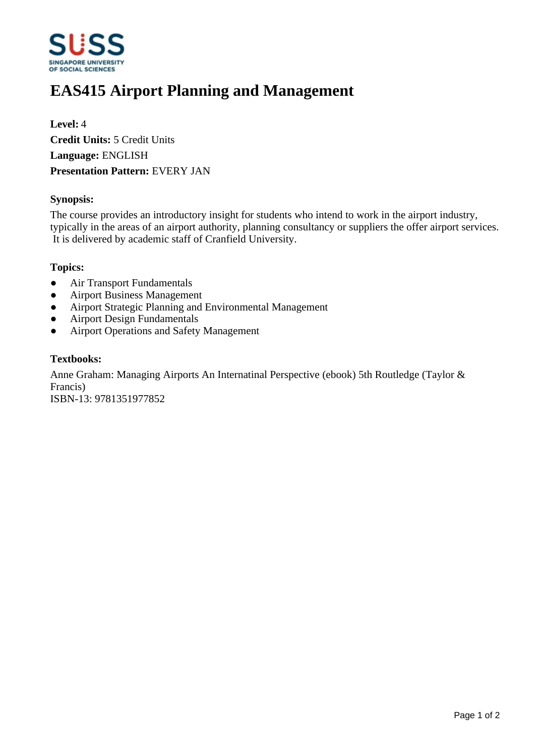

# **EAS415 Airport Planning and Management**

**Level:** 4 **Credit Units:** 5 Credit Units **Language:** ENGLISH **Presentation Pattern:** EVERY JAN

## **Synopsis:**

The course provides an introductory insight for students who intend to work in the airport industry, typically in the areas of an airport authority, planning consultancy or suppliers the offer airport services. It is delivered by academic staff of Cranfield University.

#### **Topics:**

- Air Transport Fundamentals
- Airport Business Management
- Airport Strategic Planning and Environmental Management
- Airport Design Fundamentals
- Airport Operations and Safety Management

## **Textbooks:**

Anne Graham: Managing Airports An Internatinal Perspective (ebook) 5th Routledge (Taylor & Francis) ISBN-13: 9781351977852

Page 1 of 2